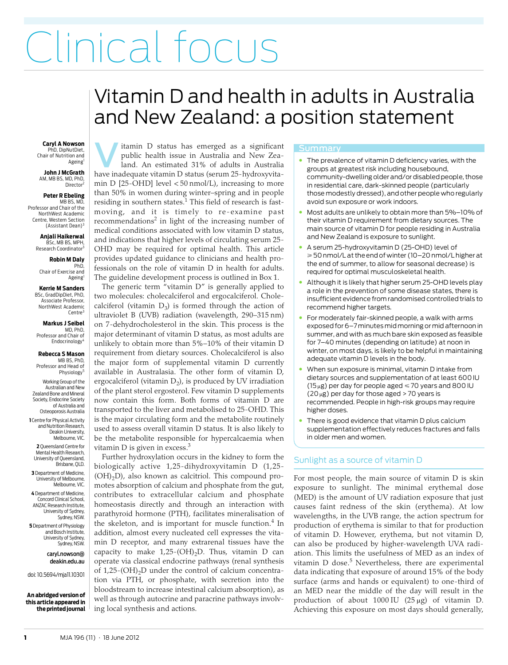# Clinical focus

# <span id="page-0-0"></span>Vitamin D and health in adults in Australia and New Zealand: a position statement

#### **Caryl A Nowson** PhD, DinNutDiet

Chair of Nutrition and Ageing<sup>1</sup>

**John J McGrath** AM, MB BS, MD, PhD, Director<sup>2</sup>

#### **Peter R Ebeling** MB BS, MD,

Professor and Chair of the NorthWest Academic Centre, Western Section (Assistant Dean)<sup>3</sup>

> **Anjali Haikerwal** BSc, MB BS, MPH,

Research Coordinator<sup>3</sup> **Robin M Daly**

 PhD, Chair of Exercise and Ageing<sup>1</sup>

#### **Kerrie M Sanders** BSc, GradDipDiet, PhD, Associate Professor,

NorthWest Academic Centre<sup>3</sup>

# **Markus J Seibel**

 MD, PhD, Professor and Chair of Endocrinology<sup>4</sup>

## **Rebecca S Mason**

MB BS, PhD, Professor and Head of Physiology<sup>5</sup>

Working Group of the Australian and New Zealand Bone and Mineral Society, Endocrine Society of Australia and Osteoporosis Australia **1** Centre for Physical Activity and Nutrition Research, Deakin University, Melbourne, VIC.

**2** Queensland Centre for Mental Health Research, University of Queensland, Brisbane, QLD.

**3** Department of Medicine,  $\begin{bmatrix} 2 & 1 & 0 & 0 \\ 0 & 1 & 1 & 0 \\ 0 & 1 & 1 & 0 \end{bmatrix}$  $\begin{bmatrix} 2 & 1 & 0 & 0 \\ 0 & 1 & 1 & 0 \\ 0 & 1 & 1 & 0 \end{bmatrix}$  $\begin{bmatrix} 2 & 1 & 0 & 0 \\ 0 & 1 & 1 & 0 \\ 0 & 1 & 1 & 0 \end{bmatrix}$ University of Melbourne, Melbourne, VIC.

webourne, vic. mote<br>4 Department of Medicine, cont Concord Clinical School, ANZAC Research Institute, University of Sydney, Sydney, NSW.

**5** Department of Physiology and Bosch Institute, University of Sydney, Sydney, NSW.

> caryl.nowson@ deakin.edu.au

doi: 10.5694/mja11.10301

**An abridged version of this article appeared in the printed journal**

itamin D status has emerged as a significant public health issue in Australia and New Zealand. An estimated 31% of adults in Australia **have in Australia and New Zealand.** An estimated 31% of adults in Australia have inadequate vitamin D status (serum 25-hydroxyvitamin D [25-OHD] level < 50 nmol/L), increasing to more than 50% in women during winter–spring and in people residing in southern states. $^1$  This field of research is fastmoving, and it is timely to re-examine past recommendations<sup>[2](#page-5-1)</sup> in light of the increasing number of medical conditions associated with low vitamin D status, and indications that higher levels of circulating serum 25- OHD may be required for optimal health. This article provides updated guidance to clinicians and health professionals on the role of vitamin D in health for adults. The guideline development process is outlined in [Box 1](#page-1-0).

The generic term "vitamin D" is generally applied to two molecules: cholecalciferol and ergocalciferol. Cholecalciferol (vitamin  $D_3$ ) is formed through the action of ultraviolet B (UVB) radiation (wavelength, 290–315 nm) on 7-dehydrocholesterol in the skin. This process is the major determinant of vitamin D status, as most adults are unlikely to obtain more than 5%–10% of their vitamin D requirement from dietary sources. Cholecalciferol is also the major form of supplemental vitamin D currently available in Australasia. The other form of vitamin D, ergocalciferol (vitamin  $D_2$ ), is produced by UV irradiation of the plant sterol ergosterol. Few vitamin D supplements now contain this form. Both forms of vitamin D are transported to the liver and metabolised to 25-OHD. This is the major circulating form and the metabolite routinely used to assess overall vitamin D status. It is also likely to be the metabolite responsible for hypercalcaemia when vitamin D is given in excess. $3$ 

Brisbane, QLD. biolog[ic](#page-6-0)ally active 1,25-dihydroxyvitamin D (1,25- $T_{\text{of Melbourne, NIC}}$  (CITI/2D), also Known as calcifion. This compound pro-<br>Melbourne, VIC motes absorption of calcium and phosphate from the gut, nt of Medicine, contributes to extracellular calcium and phosphate Further hydroxylation occurs in the kidney to form the  $(OH<sub>2</sub>, D)$ , also known as calcitriol. This compound prohomeostasis directly and through an interaction with parathyroid hormone (PTH), facilitates mineralisation of the skeleton, and is important for muscle function. $^4$  $^4$  In addition, almost every nucleated cell expresses the vitamin D receptor, and many extrarenal tissues have the capacity to make  $1,25-(OH)_2D$ . Thus, vitamin D can operate via classical endocrine pathways (renal synthesis of  $1,25-(OH)_{2}D$  under the control of calcium concentration via PTH, or phosphate, with secretion into the bloodstream to increase intestinal calcium absorption), as well as through autocrine and paracrine pathways involving local synthesis and actions.

# Summary

- The prevalence of vitamin D deficiency varies, with the groups at greatest risk including housebound, community-dwelling older and/or disabled people, those in residential care, dark-skinned people (particularly those modestly dressed), and other people who regularly avoid sun exposure or work indoors.
- Most adults are unlikely to obtain more than 5%–10% of their vitamin D requirement from dietary sources. The main source of vitamin D for people residing in Australia and New Zealand is exposure to sunlight.
- A serum 25-hydroxyvitamin D (25-OHD) level of ≥ 50 nmol/L at the end of winter (10–20 nmol/L higher at the end of summer, to allow for seasonal decrease) is required for optimal musculoskeletal health.
- Although it is likely that higher serum 25-OHD levels play a role in the prevention of some disease states, there is insufficient evidence from randomised controlled trials to recommend higher targets.
- For moderately fair-skinned people, a walk with arms exposed for 6–7 minutes mid morning or mid afternoon in summer, and with as much bare skin exposed as feasible for 7–40 minutes (depending on latitude) at noon in winter, on most days, is likely to be helpful in maintaining adequate vitamin D levels in the body.
- When sun exposure is minimal, vitamin D intake from dietary sources and supplementation of at least 600 IU  $(15<sub>µ</sub>g)$  per day for people aged  $\leq 70$  years and 800 IU  $(20 \,\mu$ g) per day for those aged > 70 years is recommended. People in high-risk groups may require higher doses.
- There is good evidence that vitamin D plus calcium supplementation effectively reduces fractures and falls in older men and women.

# Sunlight as a source of vitamin D

For most people, the main source of vitamin D is skin exposure to sunlight. The minimal erythemal dose (MED) is the amount of UV radiation exposure that just causes faint redness of the skin (erythema). At low wavelengths, in the UVB range, the action spectrum for production of erythema is similar to that for production of vitamin D. However, erythema, but not vitamin D, can also be produced by higher-wavelength UVA radiation. This limits the usefulness of MED as an index of vitamin D dose.<sup>[5](#page-5-4)</sup> Nevertheless, there are experimental data indicating that exposure of around 15% of the body surface (arms and hands or equivalent) to one-third of an MED near the middle of the day will result in the production of about 1000 IU  $(25 \mu g)$  of vitamin D. Achieving this exposure on most days should generally,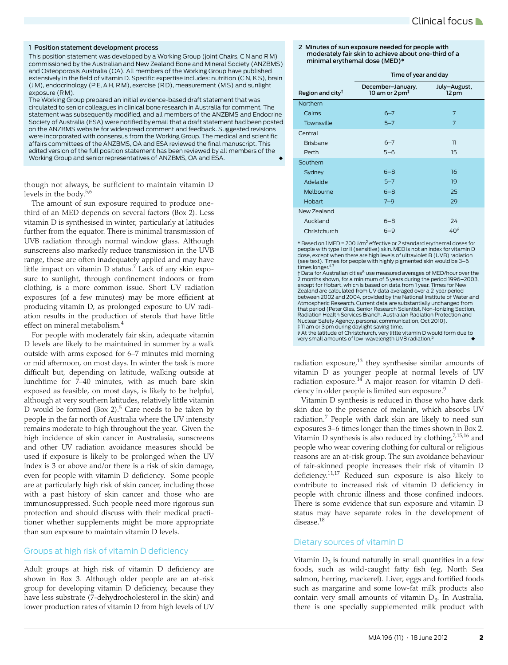#### <span id="page-1-0"></span>1 Position statement development process

This position statement was developed by a Working Group (joint Chairs, C N and R M) commissioned by the Australian and New Zealand Bone and Mineral Society (ANZBMS) and Osteoporosis Australia (OA). All members of the Working Group have published extensively in the field of vitamin D. Specific expertise includes: nutrition (C N, K S), brain (J M), endocrinology (P E, A H, R M), exercise (R D), measurement (M S) and sunlight exposure (RM).

The Working Group prepared an initial evidence-based draft statement that was circulated to senior colleagues in clinical bone research in Australia for comment. The statement was subsequently modified, and all members of the ANZBMS and Endocrine Society of Australia (ESA) were notified by email that a draft statement had been posted on the ANZBMS website for widespread comment and feedback. Suggested revisions were incorporated with consensus from the Working Group. The medical and scientific affairs committees of the ANZBMS, OA and ESA reviewed the final manuscript. This edited version of the full position statement has been reviewed by all members of the Working Group and senior representatives of ANZBMS, OA and ESA.

though not always, be sufficient to maintain vitamin D levels in the body.<sup>[5](#page-5-4),6</sup>

The amount of sun exposure required to produce onethird of an MED depends on several factors [\(Box 2\)](#page-1-1). Less vitamin D is synthesised in winter, particularly at latitudes further from the equator. There is minimal transmission of UVB radiation through normal window glass. Although sunscreens also markedly reduce transmission in the UVB range, these are often inadequately applied and may have little impact on vitamin D status.<sup>7</sup> Lack of any skin exposure to sunlight, through confinement indoors or from clothing, is a more common issue. Short UV radiation exposures (of a few minutes) may be more efficient at producing vitamin D, as prolonged exposure to UV radiation results in the production of sterols that have little effect on mineral metabolism.[4](#page-5-3)

For people with moderately fair skin, adequate vitamin D levels are likely to be maintained in summer by a walk outside with arms exposed for 6–7 minutes mid morning or mid afternoon, on most days. In winter the task is more difficult but, depending on latitude, walking outside at lunchtime for 7–40 minutes, with as much bare skin exposed as feasible, on most days, is likely to be helpful, although at very southern latitudes, relatively little vitamin D would be formed ([Box 2](#page-1-1)). $5$  Care needs to be taken by people in the far north of Australia where the UV intensity remains moderate to high throughout the year. Given the high incidence of skin cancer in Australasia, sunscreens and other UV radiation avoidance measures should be used if exposure is likely to be prolonged when the UV index is 3 or above and/or there is a risk of skin damage, even for people with vitamin D deficiency. Some people are at particularly high risk of skin cancer, including those with a past history of skin cancer and those who are immunosuppressed. Such people need more rigorous sun protection and should discuss with their medical practitioner whether supplements might be more appropriate than sun exposure to maintain vitamin D levels.

#### Groups at high risk of vitamin D deficiency

Adult groups at high risk of vitamin D deficiency are shown in [Box 3.](#page-2-0) Although older people are an at-risk group for developing vitamin D deficiency, because they have less substrate (7-dehydrocholesterol in the skin) and lower production rates of vitamin D from high levels of UV <span id="page-1-1"></span>2 Minutes of sun exposure needed for people with moderately fair skin to achieve about one-third of a minimal erythemal dose (MED)\*

|                              | Time of year and day                           |                       |
|------------------------------|------------------------------------------------|-----------------------|
| Region and city <sup>†</sup> | December-January,<br>10 am or 2 $pm^{\dagger}$ | July-August,<br>12 pm |
| Northern                     |                                                |                       |
| Cairns                       | $6 - 7$                                        | 7                     |
| Townsville                   | $5 - 7$                                        | 7                     |
| Central                      |                                                |                       |
| <b>Brisbane</b>              | $6 - 7$                                        | $\overline{1}$        |
| Perth                        | $5 - 6$                                        | 15                    |
| Southern                     |                                                |                       |
| Sydney                       | $6 - 8$                                        | 16                    |
| Adelaide                     | $5 - 7$                                        | 19                    |
| Melbourne                    | $6 - 8$                                        | 25                    |
| Hobart                       | $7 - 9$                                        | 29                    |
| New Zealand                  |                                                |                       |
| Auckland                     | $6 - 8$                                        | 24                    |
| Christchurch                 | $6 - 9$                                        | 40 <sup>6</sup>       |

\* Based on 1 MED = 200 J/m2 effective or 2 standard erythemal doses for people with type I or II (sensitive) skin. MED is not an index for vitamin D dose, except when there are high levels of ultraviolet B (UVB) radiation (see text). Times for people with highly pigmented skin would be 3–6 times longer.<sup>4,7</sup><br>† Data for Australian cities<sup>8</sup> use measured averages of MED/hour over the

2 months shown, for a minimum of 5 years during the period 1996–2003, except for Hobart, which is based on data from 1 year. Times for New Zealand are calculated from UV data averaged over a 2-year period between 2002 and 2004, provided by the National Institute of Water and Atmospheric Research. Current data are substantially unchanged from that period (Peter Gies, Senior Research Scientist, Non-Ionizing Section, Radiation Health Services Branch, Australian Radiation Protection and Nuclear Safety Agency, personal communication, Oct 2010). ‡ 11 am or 3 pm during daylight saving time.

§ At the latitude of Christchurch, very little vitamin D would form due to very small amounts of low-wavelength UVB radiation.<sup>5</sup>

radiation exposure, $^{13}$  $^{13}$  $^{13}$  they synthesise similar amounts of vitamin D as younger people at normal levels of UV radiation exposure.<sup>14</sup> A major reason for vitamin D deficiency in older people is limited sun exposure.[9](#page-5-8)

Vitamin D synthesis is reduced in those who have dark skin due to the presence of melanin, which absorbs UV radiation.<sup>[7](#page-5-5)</sup> People with dark skin are likely to need sun exposures 3–6 times longer than the times shown in [Box 2.](#page-1-1) Vitamin D synthesis is also reduced by clothing,<sup>[7](#page-5-5)[,15,](#page-5-9)16</sup> and people who wear covering clothing for cultural or religious reasons are an at-risk group. The sun avoidance behaviour of fair-skinned people increases their risk of vitamin D deficiency[.11](#page-5-11)[,17](#page-5-12) Reduced sun exposure is also likely to contribute to increased risk of vitamin D deficiency in people with chronic illness and those confined indoors. There is some evidence that sun exposure and vitamin D status may have separate roles in the development of disease.<sup>18</sup>

# Dietary sources of vitamin D

Vitamin  $D_3$  is found naturally in small quantities in a few foods, such as wild-caught fatty fish (eg, North Sea salmon, herring, mackerel). Liver, eggs and fortified foods such as margarine and some low-fat milk products also contain very small amounts of vitamin  $D_3$ . In Australia, there is one specially supplemented milk product with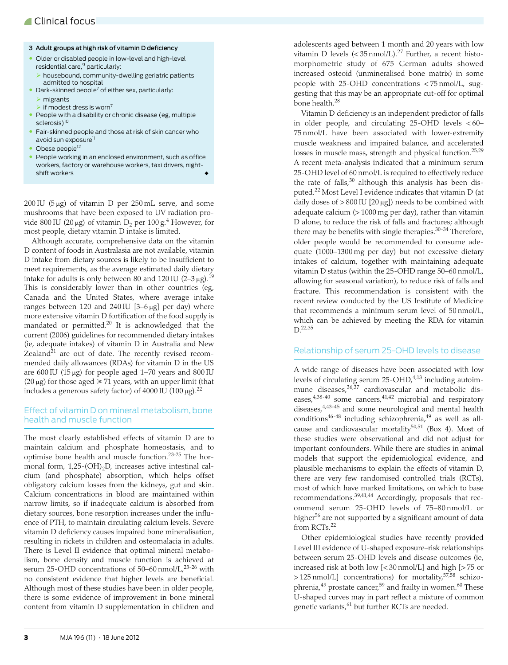- <span id="page-2-0"></span>3 Adult groups at high risk of vitamin D deficiency
- Older or disabled people in low-level and high-level residential care,<sup>9</sup> particularly:
	- housebound, community-dwelling geriatric patients admitted to hospital
- $\bullet$  Dark-skinned people<sup>7</sup> of either sex, particularly:
	- $\triangleright$  migrants
	- $\triangleright$  if modest dress is worn<sup>[7](#page-5-5)</sup>
- People with a disability or chronic disease (eg, multiple sclerosis)<sup>[10](#page-5-14)</sup>
- Fair-skinned people and those at risk of skin cancer who avoid sun exposure<sup>11</sup>
- $\bullet$  Obese people<sup>12</sup>
- People working in an enclosed environment, such as office workers, factory or warehouse workers, taxi drivers, nightshift workers

 $200$  IU ( $5 \mu$ g) of vitamin D per  $250$  mL serve, and some mushrooms that have been exposed to UV radiation provide 800 IU (20  $\mu$ g) of vitamin D<sub>2</sub> per 100 g.<sup>[4](#page-5-3)</sup> However, for most people, dietary vitamin D intake is limited.

Although accurate, comprehensive data on the vitamin D content of foods in Australasia are not available, vitamin D intake from dietary sources is likely to be insufficient to meet requirements, as the average estimated daily dietary intake for adults is only between 80 and 120 IU  $(2-3 \mu g).$ <sup>[19](#page-5-16)</sup> This is considerably lower than in other countries (eg, Canada and the United States, where average intake ranges between  $120$  and  $240$  IU  $[3-6 \,\mu g]$  per day) where more extensive vitamin D fortification of the food supply is mandated or permitted.<sup>[20](#page-5-17)</sup> It is acknowledged that the current (2006) guidelines for recommended dietary intakes (ie, adequate intakes) of vitamin D in Australia and New Zealand $^{21}$  are out of date. The recently revised recommended daily allowances (RDAs) for vitamin D in the US are  $600$  IU (15  $\mu$ g) for people aged 1–70 years and 800 IU  $(20 \,\mu g)$  for those aged  $\geq 71$  years, with an upper limit (that includes a generous safety factor) of  $4000$  IU ( $100 \mu$ g).<sup>[22](#page-5-19)</sup>

# Effect of vitamin D on mineral metabolism, bone health and muscle function

The most clearly established effects of vitamin D are to maintain calcium and phosphate homeostasis, and to optimise bone health and muscle function.[23-](#page-5-20)[25](#page-5-21) The hormonal form,  $1,25-(OH)_{2}D$ , increases active intestinal calcium (and phosphate) absorption, which helps offset obligatory calcium losses from the kidneys, gut and skin. Calcium concentrations in blood are maintained within narrow limits, so if inadequate calcium is absorbed from dietary sources, bone resorption increases under the influence of PTH, to maintain circulating calcium levels. Severe vitamin D deficiency causes impaired bone mineralisation, resulting in rickets in children and osteomalacia in adults. There is Level II evidence that optimal mineral metabolism, bone density and muscle function is achieved at serum 25-OHD concentrations of 50–60 nmol/L, $^{23-26}$  $^{23-26}$  $^{23-26}$  with no consistent evidence that higher levels are beneficial. Although most of these studies have been in older people, there is some evidence of improvement in bone mineral content from vitamin D supplementation in children and

adolescents aged between 1 month and 20 years with low vitamin D levels  $(<$  35 nmol/L).<sup>[27](#page-5-23)</sup> Further, a recent histomorphometric study of 675 German adults showed increased osteoid (unmineralised bone matrix) in some people with 25-OHD concentrations < 75 nmol/L, suggesting that this may be an appropriate cut-off for optimal bone health.<sup>[28](#page-5-24)</sup>

Vitamin D deficiency is an independent predictor of falls in older people, and circulating 25-OHD levels < 60– 75 nmol/L have been associated with lower-extremity muscle weakness and impaired balance, and accelerated losses in muscle mass, strength and physical function.<sup>[25,](#page-5-21)[29](#page-5-25)</sup> A recent meta-analysis indicated that a minimum serum 25-OHD level of 60 nmol/L is required to effectively reduce the rate of falls, $30$  although this analysis has been disputed.[22](#page-5-19) Most Level I evidence indicates that vitamin D (at daily doses of  $> 800$  IU [20  $\mu$ g]) needs to be combined with adequate calcium (> 1000 mg per day), rather than vitamin D alone, to reduce the risk of falls and fractures; although there may be benefits with single therapies. $30-34$  Therefore, older people would be recommended to consume adequate (1000–1300 mg per day) but not excessive dietary intakes of calcium, together with maintaining adequate vitamin D status (within the 25-OHD range 50–60 nmol/L, allowing for seasonal variation), to reduce risk of falls and fracture. This recommendation is consistent with the recent review conducted by the US Institute of Medicine that recommends a minimum serum level of 50 nmol/L, which can be achieved by meeting the RDA for vitamin D[.22](#page-5-19),[35](#page-5-28)

# Relationship of serum 25-OHD levels to disease

A wide range of diseases have been associated with low levels of circulating serum  $25$ -OHD, $4,13$  $4,13$  including autoim-mune diseases, [36](#page-5-29),[37](#page-5-30) cardiovascular and metabolic diseases,  $4,38-40$  $4,38-40$  $4,38-40$  $4,38-40$  some cancers,  $41,42$  $41,42$  microbial and respiratory diseases,<sup>[4](#page-5-3),[43-](#page-5-35)45</sup> and some neurological and mental health  $conditions^{46-48}$  including schizophrenia, $^{49}$  as well as all-cause and cardiovascular mortality<sup>[50,](#page-5-40)51</sup> [\(Box 4](#page-3-0)). Most of these studies were observational and did not adjust for important confounders. While there are studies in animal models that support the epidemiological evidence, and plausible mechanisms to explain the effects of vitamin D, there are very few randomised controlled trials (RCTs), most of which have marked limitations, on which to base recommendations[.39](#page-5-42)[,41,](#page-5-33)[44](#page-5-43) Accordingly, proposals that recommend serum 25-OHD levels of 75–80 nmol/L or higher<sup>56</sup> are not supported by a significant amount of data from RCTs.<sup>[22](#page-5-19)</sup>

Other epidemiological studies have recently provided Level III evidence of U-shaped exposure–risk relationships between serum 25-OHD levels and disease outcomes (ie, increased risk at both low [< 30 nmol/L] and high [> 75 or  $>$  125 nmol/L] concentrations) for mortality,<sup>[57,](#page-6-2)58</sup> schizophrenia, $49$  prostate cancer, $59$  and frailty in women.<sup>60</sup> These U-shaped curves may in part reflect a mixture of common genetic variants, <sup>61</sup> but further RCTs are needed.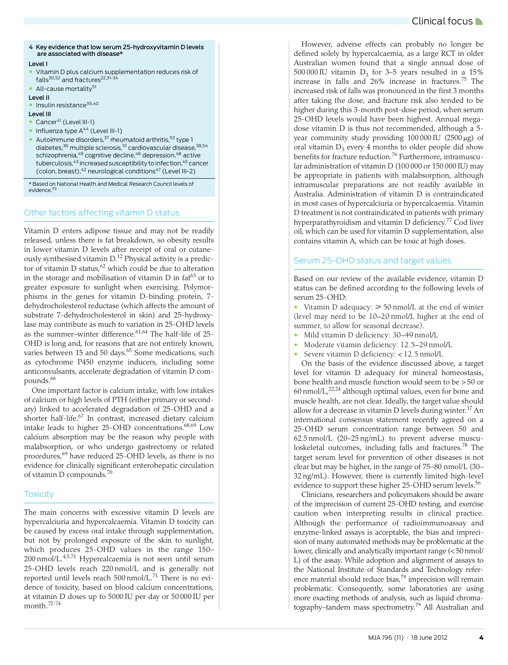<span id="page-3-0"></span>4 Key evidence that low serum 25-hydroxyvitamin D levels are associated with disease\*

#### Level I

- Vitamin D plus calcium supplementation reduces risk of falls<sup>30,52</sup> and fractures<sup>22[,31-](#page-5-44)[34](#page-5-27)</sup>
- $\bullet$  All-cause mortality $^{51}$  $^{51}$  $^{51}$

#### Level II

• Insulin resistanc[e39,](#page-5-42)[40](#page-5-32)

### Level III

- Cancer<sup>41</sup> (Level III-1)
- Influenza type  $A^{44}$  (Level III-1)
- Autoimmune disorders,  $37$  rheumatoid arthritis,  $53$  type 1 diabetes, $36$  multiple sclerosis, $10$  cardiovascular disease,  $38,54$  $38,54$ schizophrenia,<sup>49</sup> cognitive decline,<sup>[46](#page-5-37)</sup> depression,<sup>48</sup> active tuberculosis, <sup>[43](#page-5-35)</sup> increased susceptibility to infection, <sup>[45](#page-5-36)</sup> cancer (colon, breast), $42$  neurological conditions $47$  (Level III-2)

\* Based on National Health and Medical Research Council levels of evidence.[55](#page-6-15)

# Other factors affecting vitamin D status

Vitamin D enters adipose tissue and may not be readily released, unless there is fat breakdown, so obesity results in lower vitamin D levels after receipt of oral or cutaneously synthesised vitamin D[.12](#page-5-15) Physical activity is a predictor of vitamin D status,  $62$  which could be due to alteration in the storage and mobilisation of vitamin  $D$  in fat<sup>63</sup> or to greater exposure to sunlight when exercising. Polymorphisms in the genes for vitamin D-binding protein, 7 dehydrocholesterol reductase (which affects the amount of substrate 7-dehydrocholesterol in skin) and 25-hydroxylase may contribute as much to variation in 25-OHD levels as the summer–winter difference. $61,64$  $61,64$  $61,64$  The half-life of 25-OHD is long and, for reasons that are not entirely known, varies between 15 and 50 days.<sup>65</sup> Some medications, such as cytochrome P450 enzyme inducers, including some anticonvulsants, accelerate degradation of vitamin D com-pounds.<sup>[66](#page-6-11)</sup>

One important factor is calcium intake, with low intakes of calcium or high levels of PTH (either primary or secondary) linked to accelerated degradation of 25-OHD and a shorter half-life.<sup>67</sup> In contrast, increased dietary calcium intake leads to higher 25-OHD concentrations.[68](#page-6-17),[69](#page-6-18) Low calcium absorption may be the reason why people with malabsorption, or who undergo gastrectomy or related procedures,[69](#page-6-18) have reduced 25-OHD levels, as there is no evidence for clinically significant enterohepatic circulation of vitamin D compounds.[70](#page-6-19)

# **Toxicity**

The main concerns with excessive vitamin D levels are hypercalciuria and hypercalcaemia. Vitamin D toxicity can be caused by excess oral intake through supplementation, but not by prolonged exposure of the skin to sunlight, which produces 25-OHD values in the range 150–  $200$  nmol/L.<sup>[4](#page-5-3)[,5,](#page-5-4)[71](#page-6-20)</sup> Hypercalcaemia is not seen until serum 25-OHD levels reach 220 nmol/L and is generally not reported until levels reach 500 nmol/L.<sup>[71](#page-6-20)</sup> There is no evidence of toxicity, based on blood calcium concentrations, at vitamin D doses up to 5000 IU per day or 50 000 IU per month[.72](#page-6-21)[-74](#page-6-22)

However, adverse effects can probably no longer be defined solely by hypercalcaemia, as a large RCT in older Australian women found that a single annual dose of 500 000 IU vitamin  $D_3$  for 3–5 years resulted in a 15% increase in falls and 26% increase in fractures.[75](#page-6-23) The increased risk of falls was pronounced in the first 3 months after taking the dose, and fracture risk also tended to be higher during this 3-month post-dose period, when serum 25-OHD levels would have been highest. Annual megadose vitamin D is thus not recommended, although a 5 year community study providing  $100\,000\,$  IU (2500  $\mu$ g) of oral vitamin  $D_3$  every 4 months to older people did show benefits for fracture reduction.<sup>76</sup> Furthermore, intramuscular administration of vitamin D (100 000 or 150 000 IU) may be appropriate in patients with malabsorption, although intramuscular preparations are not readily available in Australia. Administration of vitamin D is contraindicated in most cases of hypercalciuria or hypercalcaemia. Vitamin D treatment is not contraindicated in patients with primary hyperparathyroidism and vitamin D deficiency.<sup>77</sup> Cod liver oil, which can be used for vitamin D supplementation, also contains vitamin A, which can be toxic at high doses.

# Serum 25-OHD status and target values

Based on our review of the available evidence, vitamin D status can be defined according to the following levels of serum 25-OHD:

• Vitamin D adequacy:  $\geq 50$  nmol/L at the end of winter (level may need to be 10–20 nmol/L higher at the end of summer, to allow for seasonal decrease).

- Mild vitamin D deficiency: 30–49 nmol/L
- Moderate vitamin deficiency: 12.5–29 nmol/L
- Severe vitamin D deficiency: < 12.5 nmol/L

On the basis of the evidence discussed above, a target level for vitamin D adequacy for mineral homeostasis, bone health and muscle function would seem to be > 50 or 60 nmol/L, $^{22,24}$  $^{22,24}$  $^{22,24}$  although optimal values, even for bone and muscle health, are not clear. Ideally, the target value should allow for a decrease in vitamin D levels during winter.<sup>[17](#page-5-12)</sup> An international consensus statement recently agreed on a 25-OHD serum concentration range between 50 and 62.5 nmol/L (20–25 ng/mL) to prevent adverse muscu-loskeletal outcomes, including falls and fractures.<sup>[78](#page-6-26)</sup> The target serum level for prevention of other diseases is not clear but may be higher, in the range of 75–80 nmol/L (30– 32 ng/mL). However, there is currently limited high-level evidence to support these higher 25-OHD serum levels.<sup>56</sup>

Clinicians, researchers and policymakers should be aware of the imprecision of current 25-OHD testing, and exercise caution when interpreting results in clinical practice. Although the performance of radioimmunoassay and enzyme-linked assays is acceptable, the bias and imprecision of many automated methods may be problematic at the lower, clinically and analytically important range (< 50 nmol/ L) of the assay. While adoption and alignment of assays to the National Institute of Standards and Technology reference material should reduce bias,<sup>79</sup> imprecision will remain problematic. Consequently, some laboratories are using more exacting methods of analysis, such as liquid chromatography–tandem mass spectrometry[.79](#page-6-27) All Australian and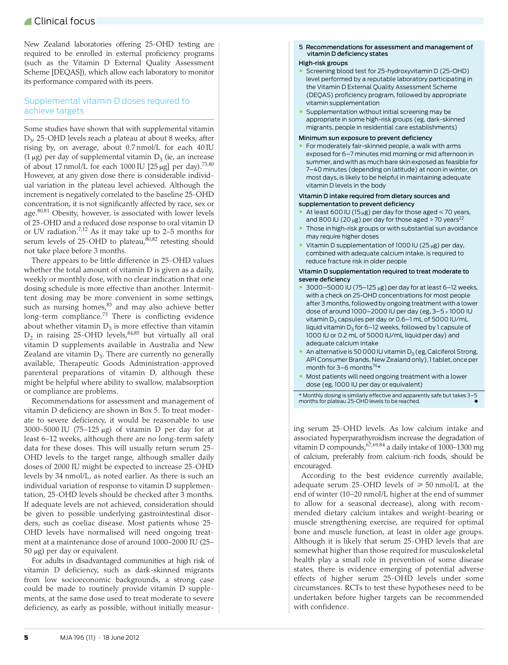New Zealand laboratories offering 25-OHD testing are required to be enrolled in external proficiency programs (such as the Vitamin D External Quality Assessment Scheme [DEQAS]), which allow each laboratory to monitor its performance compared with its peers.

# Supplemental vitamin D doses required to achieve targets

Some studies have shown that with supplemental vitamin  $D_3$ , 25-OHD levels reach a plateau at about 8 weeks, after rising by, on average, about 0.7 nmol/L for each 40 IU (1  $\mu$ g) per day of supplemental vitamin  $D_3$  (ie, an increase of about 17 nmol/L for each 1000 IU [25  $\mu$ g] per day).<sup>[73,](#page-6-28)[80](#page-6-29)</sup> However, at any given dose there is considerable individual variation in the plateau level achieved. Although the increment is negatively correlated to the baseline 25-OHD concentration, it is not significantly affected by race, sex or age.<sup>[80](#page-6-29),[81](#page-6-30)</sup> Obesity, however, is associated with lower levels of 25-OHD and a reduced dose response to oral vitamin D or UV radiation.<sup>[7](#page-5-5),12</sup> As it may take up to 2–5 months for serum levels of 25-OHD to plateau, $\frac{\dot{\delta}^{0.82}}{2}$  retesting should not take place before 3 months.

There appears to be little difference in 25-OHD values whether the total amount of vitamin D is given as a daily, weekly or monthly dose, with no clear indication that one dosing schedule is more effective than another. Intermittent dosing may be more convenient in some settings, such as nursing homes,<sup>83</sup> and may also achieve better long-term compliance.<sup>[73](#page-6-28)</sup> There is conflicting evidence about whether vitamin  $D_3$  is more effective than vitamin  $D_2$  in raising 25-OHD levels,  $84,85$  $84,85$  but virtually all oral vitamin D supplements available in Australia and New Zealand are vitamin  $D_3$ . There are currently no generally available, Therapeutic Goods Administration-approved parenteral preparations of vitamin D, although these might be helpful where ability to swallow, malabsorption or compliance are problems.

Recommendations for assessment and management of vitamin D deficiency are shown in [Box 5](#page-4-0). To treat moderate to severe deficiency, it would be reasonable to use 3000–5000 IU (75–125  $\mu$ g) of vitamin D per day for at least 6–12 weeks, although there are no long-term safety data for these doses. This will usually return serum 25- OHD levels to the target range, although smaller daily doses of 2000 IU might be expected to increase 25-OHD levels by 34 nmol/L, as noted earlier. As there is such an individual variation of response to vitamin D supplementation, 25-OHD levels should be checked after 3 months. If adequate levels are not achieved, consideration should be given to possible underlying gastrointestinal disorders, such as coeliac disease. Most patients whose 25- OHD levels have normalised will need ongoing treatment at a maintenance dose of around 1000–2000 IU (25–  $50 \mu g$ ) per day or equivalent.

For adults in disadvantaged communities at high risk of vitamin D deficiency, such as dark-skinned migrants from low socioeconomic backgrounds, a strong case could be made to routinely provide vitamin D supplements, at the same dose used to treat moderate to severe deficiency, as early as possible, without initially measur<span id="page-4-0"></span>5 Recommendations for assessment and management of vitamin D deficiency states

# High-risk groups

- Screening blood test for 25-hydroxyvitamin D (25-OHD) level performed by a reputable laboratory participating in the Vitamin D External Quality Assessment Scheme (DEQAS) proficiency program, followed by appropriate vitamin supplementation
- Supplementation without initial screening may be appropriate in some high-risk groups (eg, dark-skinned migrants, people in residential care establishments)

#### Minimum sun exposure to prevent deficiency

• For moderately fair-skinned people, a walk with arms exposed for 6–7 minutes mid morning or mid afternoon in summer, and with as much bare skin exposed as feasible for 7–40 minutes (depending on latitude) at noon in winter, on most days, is likely to be helpful in maintaining adequate vitamin D levels in the body

#### Vitamin D intake required from dietary sources and supplementation to prevent deficiency

- At least 600 IU (15µg) per day for those aged  $\leq 70$  years, and 800 IU (20  $\mu$ g) per day for those aged > 70 years<sup>22</sup>
- Those in high-risk groups or with substantial sun avoidance may require higher doses
- Vitamin D supplementation of 1000 IU (25  $\mu$ g) per day, combined with adequate calcium intake, is required to reduce fracture risk in older people

### Vitamin D supplementation required to treat moderate to severe deficiency

- 3000-5000 IU (75-125  $\mu$ g) per day for at least 6-12 weeks, with a check on 25-OHD concentrations for most people after 3 months, followed by ongoing treatment with a lower dose of around 1000-2000 IU per day (eg,  $3-5 \times 1000$  IU vitamin  $D_3$  capsules per day or 0.6–1 mL of 5000 IU/mL liquid vitamin  $D_3$  for 6–12 weeks, followed by 1 capsule of 1000 IU or 0.2 mL of 5000 IU/mL liquid per day) and adequate calcium intake
- An alternative is 50 000 IU vitamin  $D_3$  (eg, Calciferol Strong, API Consumer Brands, New Zealand only), 1 tablet, once per month for  $3-6$  months<sup>[74](#page-6-22)\*</sup>
- Most patients will need ongoing treatment with a lower dose (eg, 1000 IU per day or equivalent)

\* Monthly dosing is similarly effective and apparently safe but takes 3–5 months for plateau 25-OHD levels to be reached.

ing serum 25-OHD levels. As low calcium intake and associated hyperparathyroidism increase the degradation of vitamin D compounds,  $67,69,84$  $67,69,84$  $67,69,84$  $67,69,84$  a daily intake of 1000–1300 mg of calcium, preferably from calcium-rich foods, should be encouraged.

According to the best evidence currently available, adequate serum 25-OHD levels of  $\geqslant 50$  nmol/L at the end of winter (10–20 nmol/L higher at the end of summer to allow for a seasonal decrease), along with recommended dietary calcium intakes and weight-bearing or muscle strengthening exercise, are required for optimal bone and muscle function, at least in older age groups. Although it is likely that serum 25-OHD levels that are somewhat higher than those required for musculoskeletal health play a small role in prevention of some disease states, there is evidence emerging of potential adverse effects of higher serum 25-OHD levels under some circumstances. RCTs to test these hypotheses need to be undertaken before higher targets can be recommended with confidence.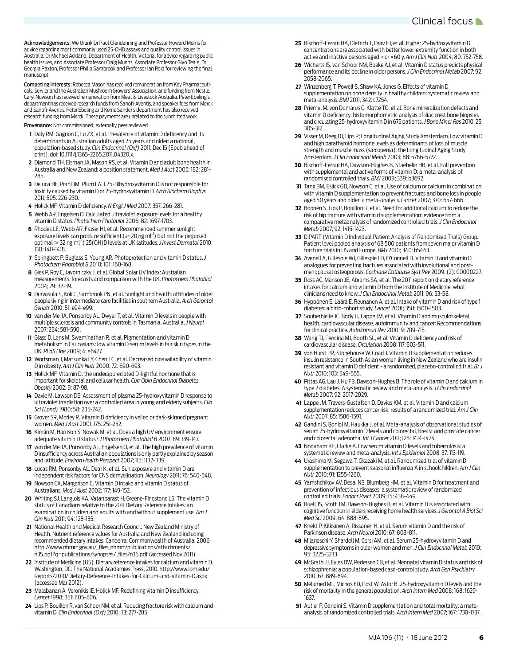Acknowledgements: We thank Dr Paul Glendenning and Professor Howard Morris for advice regarding most commonly used 25-OHD assays and quality control issues in Australia, Dr Michael Ackland, Department of Health, Victoria, for advice regarding public health issues, and Associate Professor Craig Munns, Associate Professor Glyn Teale, Dr Georgia Paxton, Professor Philip Sambrook and Professor Ian Reid for reviewing the final manuscript.

Competing interests: Rebecca Mason has received remuneration from Key Pharmaceuticals, Servier and the Australian Mushroom Growers' Association, and funding from Nestle. Caryl Nowson has received remuneration from Meat & Livestock Australia. Peter Ebeling's department has received research funds from Sanofi-Aventis, and speaker fees from Merck and Sanofi-Aventis. Peter Ebeling and Kerrie Sander's department has also received research funding from Merck. These payments are unrelated to the submitted work.

Provenance: Not commissioned; externally peer reviewed.

- <span id="page-5-0"></span>**1** Daly RM, Gagnon C, Lu ZX, et al. Prevalence of vitamin D deficiency and its determinants in Australian adults aged 25 years and older: a national, population-based study. *Clin Endocrinol (Oxf)* 2011; Dec 15 [Epub ahead of print]. doi: 10.1111/j.1365-2265.2011.04320.x.
- <span id="page-5-1"></span>**2** Diamond TH, Eisman JA, Mason RS, et al. Vitamin D and adult bone health in Australia and New Zealand: a position statement. *Med J Aust* 2005; 182: 281- 285.
- <span id="page-5-2"></span>**3** Deluca HF, Prahl JM, Plum LA. 1,25-Dihydroxyvitamin D is not responsible for toxicity caused by vitamin D or 25-hydroxyvitamin D. *Arch Biochem Biophys*  2011; 505: 226-230.
- <span id="page-5-3"></span>**4** Holick MF. Vitamin D deficiency. *N Engl J Med* 2007; 357: 266-281.
- <span id="page-5-4"></span>**5** Webb AR, Engelsen O. Calculated ultraviolet exposure levels for a healthy vitamin D status. *Photochem Photobiol* 2006; 82: 1697-1703.
- **6** Rhodes LE, Webb AR, Fraser HI, et al. Recommended summer sunlight exposure levels can produce sufficient ( $\geqslant$  20 ng ml<sup>-1</sup>) but not the proposed optimal ≥ 32 ng ml<sup>-1</sup>) 25(OH)D levels at UK latitudes. *J Invest Dermatol* 2010; 130: 1411-1418.
- <span id="page-5-5"></span>**7** Springbett P, Buglass S, Young AR. Photoprotection and vitamin D status. *J Photochem Photobiol B* 2010; 101: 160-168.
- **8** Gies P, Roy C, Javorniczky J, et al. Global Solar UV Index: Australian measurements, forecasts and comparison with the UK. *Photochem Photobiol* 2004; 79: 32-39.
- <span id="page-5-8"></span>**9** Durvasula S, Kok C, Sambrook PN, et al. Sunlight and health: attitudes of older people living in intermediate care facilities in southern Australia. *Arch Gerontol Geriatr* 2010; 51: e94-e99.
- <span id="page-5-14"></span>**10** van der Mei IA, Ponsonby AL, Dwyer T, et al. Vitamin D levels in people with multiple sclerosis and community controls in Tasmania, Australia. *J Neurol* 2007; 254: 581-590.
- <span id="page-5-11"></span>**11** Glass D, Lens M, Swaminathan R, et al. Pigmentation and vitamin D metabolism in Caucasians: low vitamin D serum levels in fair skin types in the UK. *PLoS One* 2009; 4: e6477.
- <span id="page-5-15"></span>**12** Wortsman J, Matsuoka LY, Chen TC, et al. Decreased bioavailability of vitamin D in obesity. *Am J Clin Nutr* 2000; 72: 690-693.
- <span id="page-5-6"></span>**13** Holick MF. Vitamin D: the underappreciated D-lightful hormone that is important for skeletal and cellular health. *Curr Opin Endocrinol Diabetes Obesity* 2002; 9: 87-98.
- <span id="page-5-7"></span>**14** Davie M, Lawson DE. Assessment of plasma 25-hydroxyvitamin D response to ultraviolet irradiation over a controlled area in young and elderly subjects. *Clin Sci (Lond)* 1980; 58: 235-242.
- <span id="page-5-9"></span>**15** Grover SR, Morley R. Vitamin D deficiency in veiled or dark-skinned pregnant women. *Med J Aust* 2001; 175: 251-252.
- <span id="page-5-10"></span>**16** Kimlin M, Harrison S, Nowak M, et al. Does a high UV environment ensure adequate vitamin D status? *J Photochem Photobiol B* 2007; 89: 139-147.
- <span id="page-5-12"></span>**17** van der Mei IA, Ponsonby AL, Engelsen O, et al. The high prevalence of vitamin D insufficiency across Australian populations is only partly explained by season and latitude. *Environ Health Perspect* 2007; 115: 1132-1139.
- <span id="page-5-13"></span>**18** Lucas RM, Ponsonby AL, Dear K, et al. Sun exposure and vitamin D are independent risk factors for CNS demyelination. *Neurology* 2011; 76: 540-548.
- <span id="page-5-16"></span>**19** Nowson CA, Margerison C. Vitamin D intake and vitamin D status of Australians. *Med J Aust* 2002; 177: 149-152.
- <span id="page-5-17"></span>**20** Whiting SJ, Langlois KA, Vatanparast H, Greene-Finestone LS. The vitamin D status of Canadians relative to the 2011 Dietary Reference Intakes: an examination in children and adults with and without supplement use. *Am J Clin Nutr* 2011; 94: 128-135.
- <span id="page-5-18"></span>**21** National Health and Medical Research Council; New Zealand Ministry of Health. Nutrient reference values for Australia and New Zealand including recommended dietary intakes. Canberra: Commonwealth of Australia, 2006. http://www.nhmrc.gov.au/\_files\_nhmrc/publications/attachments/ n35.pdf?q=publications/synopses/\_files/n35.pdf (accessed Nov 2011).
- <span id="page-5-19"></span>**22** [Institute of Medicine \(US\). Dietary reference intakes for calcium and vitamin D.](http://www.iom.edu/Reports/2010/Dietary-Reference-Intakes-for-Calcium-and-Vitamin-D.aspx)  Washington, DC: The National Acadamies Press, 2010. http://www.iom.edu/ Reports/2010/Dietary-Reference-Intakes-for-Calcium-and-Vitamin-D.aspx (accessed Mar 2012).
- <span id="page-5-20"></span>**23** Malabanan A, Veronikis IE, Holick MF. Redefining vitamin D insufficiency. *Lancet* 1998; 351: 805-806.
- <span id="page-5-46"></span>**24** Lips P, Bouillon R, van Schoor NM, et al. Reducing fracture risk with calcium and vitamin D. *Clin Endocrinol (Oxf)* 2010; 73: 277-285.
- <span id="page-5-21"></span>**25** Bischoff-Ferrari HA, Dietrich T, Orav EJ, et al. Higher 25-hydroxyvitamin D concentrations are associated with better lower-extremity function in both active and inactive persons aged > or =60 y. *Am J Clin Nutr* 2004; 80: 752-758.
- <span id="page-5-22"></span>**26** Wicherts IS, van Schoor NM, Boeke AJ, et al. Vitamin D status predicts physical performance and its decline in older persons. *J Clin Endocrinol Metab* 2007; 92: 2058-2065.
- <span id="page-5-23"></span>**27** Winzenberg T, Powell S, Shaw KA, Jones G. Effects of vitamin D supplementation on bone density in healthy children: systematic review and meta-analysis. *BMJ* 2011; 342: c7254.
- <span id="page-5-24"></span>**28** Priemel M, von Domarus C, Klatte TO, et al. Bone mineralization defects and vitamin D deficiency: histomorphometric analysis of iliac crest bone biopsies and circulating 25-hydroxyvitamin D in 675 patients. *J Bone Miner Res* 2010; 25: 305-312.
- <span id="page-5-25"></span>**29** Visser M, Deeg DJ, Lips P; Longitudinal Aging Study Amsterdam. Low vitamin D and high parathyroid hormone levels as determinants of loss of muscle strength and muscle mass (sarcopenia): the Longitudinal Aging Study Amsterdam. *J Clin Endocrinol Metab* 2003; 88: 5766-5772.
- <span id="page-5-26"></span>**30** Bischoff-Ferrari HA, Dawson-Hughes B, Staehelin HB, et al. Fall prevention with supplemental and active forms of vitamin D: a meta-analysis of randomised controlled trials. *BMJ* 2009; 339: b3692.
- <span id="page-5-44"></span>**31** Tang BM, Eslick GD, Nowson C, et al. Use of calcium or calcium in combination with vitamin D supplementation to prevent fractures and bone loss in people aged 50 years and older: a meta-analysis. *Lancet* 2007; 370: 657-666.
- **32** Boonen S, Lips P, Bouillon R, et al. Need for additional calcium to reduce the risk of hip fracture with vitamin d supplementation: evidence from a comparative metaanalysis of randomized controlled trials. *J Clin Endocrinol Metab* 2007; 92: 1415-1423.
- **33** DIPART (Vitamin D Individual Patient Analysis of Randomized Trials) Group. Patient level pooled analysis of 68 500 patients from seven major vitamin D fracture trials in US and Europe. *BMJ* 2010; 340: b5463.
- <span id="page-5-27"></span>**34** Avenell A, Gillespie WJ, Gillespie LD, O'Connell D. Vitamin D and vitamin D analogues for preventing fractures associated with involutional and postmenopausal osteoporosis. *Cochrane Database Syst Rev* 2009; (2): CD000227.
- <span id="page-5-28"></span>**35** Ross AC, Manson JE, Abrams SA, et al. The 2011 report on dietary reference intakes for calcium and vitamin D from the Institute of Medicine: what clinicians need to know. *J Clin Endocrinol Metab* 2011; 96: 53-58.
- <span id="page-5-29"></span>**36** Hyppönen E, Läärä E, Reunanen A, et al. Intake of vitamin D and risk of type 1 diabetes: a birth-cohort study. *Lancet* 2001; 358: 1500-1503.
- <span id="page-5-30"></span>**37** Souberbielle JC, Body JJ, Lappe JM, et al. Vitamin D and musculoskeletal health, cardiovascular disease, autoimmunity and cancer: Recommendations for clinical practice. *Autoimmun Rev* 2010; 9: 709-715.
- <span id="page-5-31"></span>**38** Wang TJ, Pencina MJ, Booth SL, et al. Vitamin D deficiency and risk of cardiovascular disease. *Circulation* 2008; 117: 503-511.
- <span id="page-5-42"></span>**39** von Hurst PR, Stonehouse W, Coad J. Vitamin D supplementation reduces insulin resistance in South Asian women living in New Zealand who are insulin resistant and vitamin D deficient - a randomised, placebo-controlled trial. *Br J Nutr* 2010; 103: 549-555.
- <span id="page-5-32"></span>**40** Pittas AG, Lau J, Hu FB, Dawson-Hughes B. The role of vitamin D and calcium in type 2 diabetes. A systematic review and meta-analysis. *J Clin Endocrinol Metab* 2007; 92: 2017-2029.
- <span id="page-5-33"></span>**41** Lappe JM, Travers-Gustafson D, Davies KM, et al. Vitamin D and calcium supplementation reduces cancer risk: results of a randomized trial. *Am J Clin Nutr* 2007; 85: 1586-1591.
- <span id="page-5-34"></span>**42** Gandini S, Boniol M, Haukka J, et al. Meta-analysis of observational studies of serum 25-hydroxyvitamin D levels and colorectal, breast and prostate cancer and colorectal adenoma. *Int J Cancer* 2011; 128: 1414-1424.
- <span id="page-5-35"></span>**43** Nnoaham KE, Clarke A. Low serum vitamin D levels and tuberculosis: a systematic review and meta-analysis. *Int J Epidemiol* 2008; 37: 113-119.
- <span id="page-5-43"></span>**44** Urashima M, Segawa T, Okazaki M, et al. Randomized trial of vitamin D supplementation to prevent seasonal influenza A in schoolchildren. *Am J Clin Nutr* 2010; 91: 1255-1260.
- <span id="page-5-36"></span>**45** Yamshchikov AV, Desai NS, Blumberg HM, et al. Vitamin D for treatment and prevention of infectious diseases: a systematic review of randomized controlled trials. *Endocr Pract* 2009; 15: 438-449.
- <span id="page-5-37"></span>**46** Buell JS, Scott TM, Dawson-Hughes B, et al. Vitamin D is associated with cognitive function in elders receiving home health services. *J Gerontol A Biol Sci Med Sci* 2009; 64: 888-895.
- <span id="page-5-45"></span>**47** Knekt P, Kilkkinen A, Rissanen H, et al. Serum vitamin D and the risk of Parkinson disease. *Arch Neurol* 2010; 67: 808-811.
- <span id="page-5-38"></span>**48** Milaneschi Y, Shardell M, Corsi AM, et al. Serum 25-hydroxyvitamin D and depressive symptoms in older women and men. *J Clin Endocrinol Metab* 2010; 95: 3225-3233.
- <span id="page-5-39"></span>**49** McGrath JJ, Eyles DW, Pedersen CB, et al. Neonatal vitamin D status and risk of schizophrenia: a population-based case-control study. *Arch Gen Psychiatry* 2010; 67: 889-894.
- <span id="page-5-40"></span>**50** Melamed ML, Michos ED, Post W, Astor B. 25-hydroxyvitamin D levels and the risk of mortality in the general population. *Arch Intern Med* 2008; 168: 1629- 1637.
- <span id="page-5-41"></span>**51** Autier P, Gandini S. Vitamin D supplementation and total mortality: a metaanalysis of randomized controlled trials. *Arch Intern Med* 2007; 167: 1730-1737.